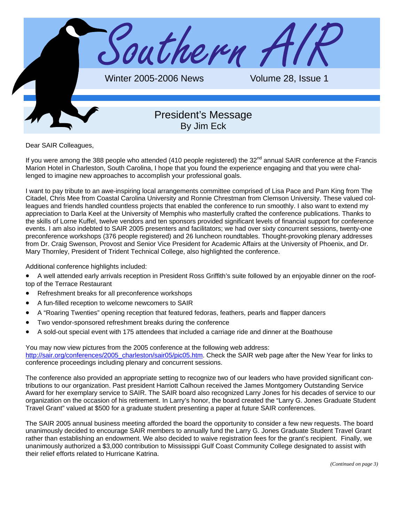

Dear SAIR Colleagues,

If you were among the 388 people who attended (410 people registered) the 32<sup>nd</sup> annual SAIR conference at the Francis Marion Hotel in Charleston, South Carolina, I hope that you found the experience engaging and that you were challenged to imagine new approaches to accomplish your professional goals.

I want to pay tribute to an awe-inspiring local arrangements committee comprised of Lisa Pace and Pam King from The Citadel, Chris Mee from Coastal Carolina University and Ronnie Chrestman from Clemson University. These valued colleagues and friends handled countless projects that enabled the conference to run smoothly. I also want to extend my appreciation to Darla Keel at the University of Memphis who masterfully crafted the conference publications. Thanks to the skills of Lorne Kuffel, twelve vendors and ten sponsors provided significant levels of financial support for conference events. I am also indebted to SAIR 2005 presenters and facilitators; we had over sixty concurrent sessions, twenty-one preconference workshops (376 people registered) and 26 luncheon roundtables. Thought-provoking plenary addresses from Dr. Craig Swenson, Provost and Senior Vice President for Academic Affairs at the University of Phoenix, and Dr. Mary Thornley, President of Trident Technical College, also highlighted the conference.

Additional conference highlights included:

- A well attended early arrivals reception in President Ross Griffith's suite followed by an enjoyable dinner on the rooftop of the Terrace Restaurant
- Refreshment breaks for all preconference workshops
- A fun-filled reception to welcome newcomers to SAIR
- A "Roaring Twenties" opening reception that featured fedoras, feathers, pearls and flapper dancers
- Two vendor-sponsored refreshment breaks during the conference
- A sold-out special event with 175 attendees that included a carriage ride and dinner at the Boathouse

You may now view pictures from the 2005 conference at the following web address: [http://sair.org/conferences/2005\\_charleston/sair05/pic05.htm. C](http://sair.org/conferences/2005_charleston/sair05/pic05.htm)heck the SAIR web page after the New Year for links to conference proceedings including plenary and concurrent sessions.

The conference also provided an appropriate setting to recognize two of our leaders who have provided significant contributions to our organization. Past president Harriott Calhoun received the James Montgomery Outstanding Service Award for her exemplary service to SAIR. The SAIR board also recognized Larry Jones for his decades of service to our organization on the occasion of his retirement. In Larry's honor, the board created the "Larry G. Jones Graduate Student Travel Grant" valued at \$500 for a graduate student presenting a paper at future SAIR conferences.

The SAIR 2005 annual business meeting afforded the board the opportunity to consider a few new requests. The board unanimously decided to encourage SAIR members to annually fund the Larry G. Jones Graduate Student Travel Grant rather than establishing an endowment. We also decided to waive registration fees for the grant's recipient. Finally, we unanimously authorized a \$3,000 contribution to Mississippi Gulf Coast Community College designated to assist with their relief efforts related to Hurricane Katrina.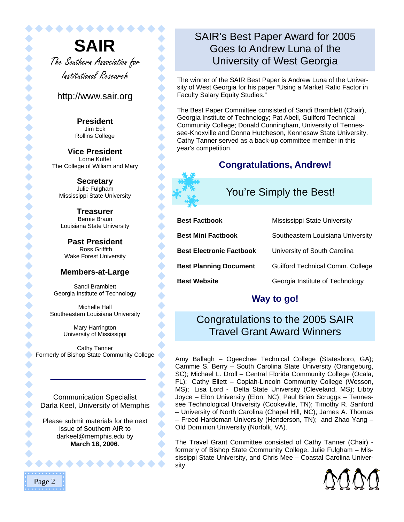**SAIR** The Southern Association for Institutional Research

. . . . . . . . . . .

#### http://www.sair.org

 $\bullet$ 

 $\blacklozenge$ 

◆

 $\bullet$ 

 $\bullet$ 

 $\blacklozenge$ 

 $\hat{\bullet}$ 

 $\bullet$ 

 $\blacklozenge$ 

 $\blacklozenge$ 

 $\bullet$ 

 $\bullet$ 

 $\bullet$ 

 $\hat{\bullet}$ 

**President**  Jim Eck Rollins College

**Vice President**  Lorne Kuffel The College of William and Mary

**Secretary**  Julie Fulgham Mississippi State University

**Treasurer**  Bernie Braun Louisiana State University

**Past President**  Ross Griffith Wake Forest University

#### **Members-at-Large**

Sandi Bramblett Georgia Institute of Technology

Michelle Hall Southeastern Louisiana University

> Mary Harrington University of Mississippi

Cathy Tanner Formerly of Bishop State Community College

Communication Specialist Darla Keel, University of Memphis

Please submit materials for the next issue of Southern AIR to [darkeel@memphis.edu](mailto:darkeel@memphis.edu) by **March 18, 2006**.

 $\bullet\bullet\bullet\bullet\bullet$ 

# SAIR's Best Paper Award for 2005 Goes to Andrew Luna of the University of West Georgia

The winner of the SAIR Best Paper is Andrew Luna of the University of West Georgia for his paper "Using a Market Ratio Factor in Faculty Salary Equity Studies."

The Best Paper Committee consisted of Sandi Bramblett (Chair), Georgia Institute of Technology; Pat Abell, Guilford Technical Community College; Donald Cunningham, University of Tennessee-Knoxville and Donna Hutcheson, Kennesaw State University. Cathy Tanner served as a back-up committee member in this year's competition.

# **Congratulations, Andrew!**

# You're Simply the Best!

| <b>Best Factbook</b>            | Mississippi State University      |
|---------------------------------|-----------------------------------|
| <b>Best Mini Factbook</b>       | Southeastern Louisiana University |
| <b>Best Electronic Factbook</b> | University of South Carolina      |
| <b>Best Planning Document</b>   | Guilford Technical Comm. College  |
| <b>Best Website</b>             | Georgia Institute of Technology   |

# **Way to go!**

# Congratulations to the 2005 SAIR Travel Grant Award Winners

Amy Ballagh – Ogeechee Technical College (Statesboro, GA); Cammie S. Berry – South Carolina State University (Orangeburg, SC); Michael L. Droll – Central Florida Community College (Ocala, FL); Cathy Ellett - Copiah-Lincoln Community College (Wesson, MS); Lisa Lord - Delta State University (Cleveland, MS); Libby Joyce – Elon University (Elon, NC); Paul Brian Scruggs – Tennessee Technological University (Cookeville, TN); Timothy R. Sanford – University of North Carolina (Chapel Hill, NC); James A. Thomas – Freed-Hardeman University (Henderson, TN); and Zhao Yang – Old Dominion University (Norfolk, VA).

The Travel Grant Committee consisted of Cathy Tanner (Chair) formerly of Bishop State Community College, Julie Fulgham – Mississippi State University, and Chris Mee – Coastal Carolina University.

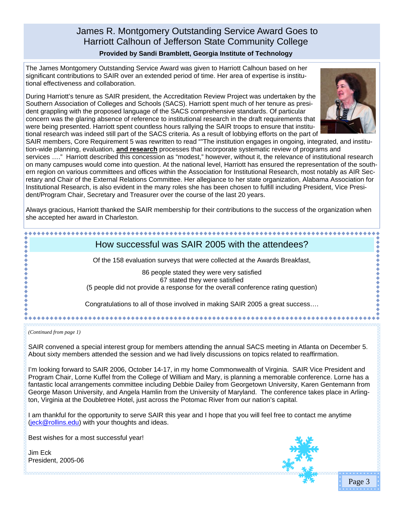## James R. Montgomery Outstanding Service Award Goes to Harriott Calhoun of Jefferson State Community College **Provided by Sandi Bramblett, Georgia Institute of Technology**

The James Montgomery Outstanding Service Award was given to Harriott Calhoun based on her significant contributions to SAIR over an extended period of time. Her area of expertise is institutional effectiveness and collaboration.

During Harriott's tenure as SAIR president, the Accreditation Review Project was undertaken by the Southern Association of Colleges and Schools (SACS). Harriott spent much of her tenure as president grappling with the proposed language of the SACS comprehensive standards. Of particular concern was the glaring absence of reference to institutional research in the draft requirements that were being presented. Harriott spent countless hours rallying the SAIR troops to ensure that institutional research was indeed still part of the SACS criteria. As a result of lobbying efforts on the part of



SAIR members, Core Requirement 5 was rewritten to read ""The institution engages in ongoing, integrated, and institution-wide planning, evaluation, **and research** processes that incorporate systematic review of programs and services …." Harriott described this concession as "modest," however, without it, the relevance of institutional research

on many campuses would come into question. At the national level, Harriott has ensured the representation of the southern region on various committees and offices within the Association for Institutional Research, most notably as AIR Secretary and Chair of the External Relations Committee. Her allegiance to her state organization, Alabama Association for Institutional Research, is also evident in the many roles she has been chosen to fulfill including President, Vice President/Program Chair, Secretary and Treasurer over the course of the last 20 years.

Always gracious, Harriott thanked the SAIR membership for their contributions to the success of the organization when she accepted her award in Charleston.

## How successful was SAIR 2005 with the attendees?

Of the 158 evaluation surveys that were collected at the Awards Breakfast,

86 people stated they were very satisfied 67 stated they were satisfied (5 people did not provide a response for the overall conference rating question)

Congratulations to all of those involved in making SAIR 2005 a great success….

*(Continued from page 1)* 

\*\*\*\*\*\*\*\*\*

SAIR convened a special interest group for members attending the annual SACS meeting in Atlanta on December 5. About sixty members attended the session and we had lively discussions on topics related to reaffirmation.

I'm looking forward to SAIR 2006, October 14-17, in my home Commonwealth of Virginia. SAIR Vice President and Program Chair, Lorne Kuffel from the College of William and Mary, is planning a memorable conference. Lorne has a fantastic local arrangements committee including Debbie Dailey from Georgetown University, Karen Gentemann from George Mason University, and Angela Hamlin from the University of Maryland. The conference takes place in Arlington, Virginia at the Doubletree Hotel, just across the Potomac River from our nation's capital.

I am thankful for the opportunity to serve SAIR this year and I hope that you will feel free to contact me anytime [\(jeck@rollins.edu\)](mailto:jeck@rollins.edu) with your thoughts and ideas.

Best wishes for a most successful year!

Jim Eck President, 2005-06



Page 3

\*\*\*\*\*\*\*\*\*\*\*\*\*\*\*\*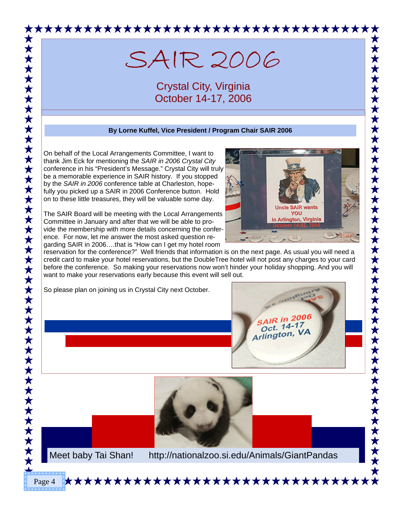

# SAIR 2006

Crystal City, Virginia October 14-17, 2006

#### **By Lorne Kuffel, Vice President / Program Chair SAIR 2006**

On behalf of the Local Arrangements Committee, I want to thank Jim Eck for mentioning the *SAIR in 2006 Crystal City* conference in his "President's Message." Crystal City will truly be a memorable experience in SAIR history. If you stopped by the *SAIR in 2006* conference table at Charleston, hopefully you picked up a SAIR in 2006 Conference button. Hold on to these little treasures, they will be valuable some day.

The SAIR Board will be meeting with the Local Arrangements Committee in January and after that we will be able to provide the membership with more details concerning the conference. For now, let me answer the most asked question regarding SAIR in 2006….that is "How can I get my hotel room

**Uncle SAIR wants** YOU in Arlington, Virginia **Victorial** 

reservation for the conference?" Well friends that information is on the next page. As usual you will need a credit card to make your hotel reservations, but the DoubleTree hotel will not post any charges to your card before the conference. So making your reservations now won't hinder your holiday shopping. And you will want to make your reservations early because this event will sell out.

So please plan on joining us in Crystal City next October.





Page 4

Meet baby Tai Shan! <http://nationalzoo.si.edu/Animals/GiantPandas>

**★★★★★★★★★★★★★★★★★★★★★★★★★★★★★★**★★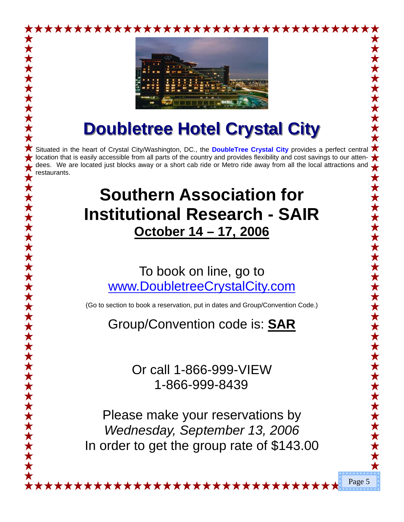

# **Doubletree Hotel Crystal City Doubletree Hotel Crystal City**

Situated in the heart of Crystal City/Washington, DC., the **DoubleTree Crystal City** provides a perfect central location that is easily accessible from all parts of the country and provides flexibility and cost savings to our attendees. We are located just blocks away or a short cab ride or Metro ride away from all the local attractions and restaurants.

# **Southern Association for Institutional Research - SAIR October 14 – 17, 2006**

# To book on line, go to [www.DoubletreeCrystalCity.com](http://www.DoubletreeCrystalCity.com)

(Go to section to book a reservation, put in dates and Group/Convention Code.)

Group/Convention code is: **SAR**

Or call 1-866-999-VIEW 1-866-999-8439

Please make your reservations by *Wednesday, September 13, 2006*  In order to get the group rate of \$143.00

\*\*\*\*\*\*\*\*\*\*\*\*\*\*\*\*\*\*\*\*\*\*\*\*

Page 5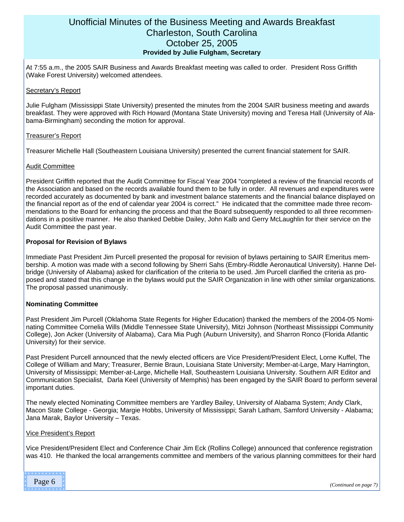#### Unofficial Minutes of the Business Meeting and Awards Breakfast Charleston, South Carolina October 25, 2005 **Provided by Julie Fulgham, Secretary**

At 7:55 a.m., the 2005 SAIR Business and Awards Breakfast meeting was called to order. President Ross Griffith (Wake Forest University) welcomed attendees.

#### Secretary's Report

Julie Fulgham (Mississippi State University) presented the minutes from the 2004 SAIR business meeting and awards breakfast. They were approved with Rich Howard (Montana State University) moving and Teresa Hall (University of Alabama-Birmingham) seconding the motion for approval.

#### Treasurer's Report

Treasurer Michelle Hall (Southeastern Louisiana University) presented the current financial statement for SAIR.

#### Audit Committee

President Griffith reported that the Audit Committee for Fiscal Year 2004 "completed a review of the financial records of the Association and based on the records available found them to be fully in order. All revenues and expenditures were recorded accurately as documented by bank and investment balance statements and the financial balance displayed on the financial report as of the end of calendar year 2004 is correct." He indicated that the committee made three recommendations to the Board for enhancing the process and that the Board subsequently responded to all three recommendations in a positive manner. He also thanked Debbie Dailey, John Kalb and Gerry McLaughlin for their service on the Audit Committee the past year.

#### **Proposal for Revision of Bylaws**

Immediate Past President Jim Purcell presented the proposal for revision of bylaws pertaining to SAIR Emeritus membership. A motion was made with a second following by Sherri Sahs (Embry-Riddle Aeronautical University). Hanne Delbridge (University of Alabama) asked for clarification of the criteria to be used. Jim Purcell clarified the criteria as proposed and stated that this change in the bylaws would put the SAIR Organization in line with other similar organizations. The proposal passed unanimously.

#### **Nominating Committee**

Past President Jim Purcell (Oklahoma State Regents for Higher Education) thanked the members of the 2004-05 Nominating Committee Cornelia Wills (Middle Tennessee State University), Mitzi Johnson (Northeast Mississippi Community College), Jon Acker (University of Alabama), Cara Mia Pugh (Auburn University), and Sharron Ronco (Florida Atlantic University) for their service.

Past President Purcell announced that the newly elected officers are Vice President/President Elect, Lorne Kuffel, The College of William and Mary; Treasurer, Bernie Braun, Louisiana State University; Member-at-Large, Mary Harrington, University of Mississippi; Member-at-Large, Michelle Hall, Southeastern Louisiana University. Southern AIR Editor and Communication Specialist, Darla Keel (University of Memphis) has been engaged by the SAIR Board to perform several important duties.

The newly elected Nominating Committee members are Yardley Bailey, University of Alabama System; Andy Clark, Macon State College - Georgia; Margie Hobbs, University of Mississippi; Sarah Latham, Samford University - Alabama; Jana Marak, Baylor University – Texas.

#### Vice President's Report

Vice President/President Elect and Conference Chair Jim Eck (Rollins College) announced that conference registration was 410. He thanked the local arrangements committee and members of the various planning committees for their hard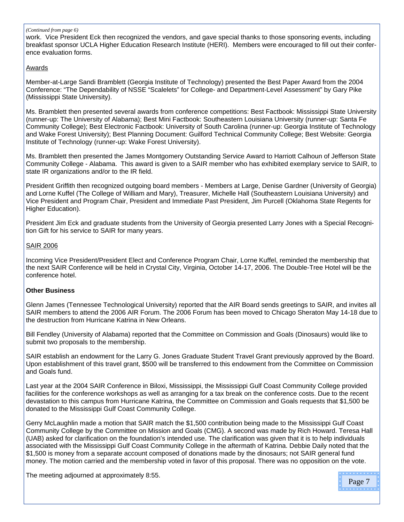#### *(Continued from page 6)*

work. Vice President Eck then recognized the vendors, and gave special thanks to those sponsoring events, including breakfast sponsor UCLA Higher Education Research Institute (HERI). Members were encouraged to fill out their conference evaluation forms.

#### Awards

Member-at-Large Sandi Bramblett (Georgia Institute of Technology) presented the Best Paper Award from the 2004 Conference: "The Dependability of NSSE "Scalelets" for College- and Department-Level Assessment" by Gary Pike (Mississippi State University).

Ms. Bramblett then presented several awards from conference competitions: Best Factbook: Mississippi State University (runner-up: The University of Alabama); Best Mini Factbook: Southeastern Louisiana University (runner-up: Santa Fe Community College); Best Electronic Factbook: University of South Carolina (runner-up: Georgia Institute of Technology and Wake Forest University); Best Planning Document: Guilford Technical Community College; Best Website: Georgia Institute of Technology (runner-up: Wake Forest University).

Ms. Bramblett then presented the James Montgomery Outstanding Service Award to Harriott Calhoun of Jefferson State Community College - Alabama. This award is given to a SAIR member who has exhibited exemplary service to SAIR, to state IR organizations and/or to the IR field.

President Griffith then recognized outgoing board members - Members at Large, Denise Gardner (University of Georgia) and Lorne Kuffel (The College of William and Mary), Treasurer, Michelle Hall (Southeastern Louisiana University) and Vice President and Program Chair, President and Immediate Past President, Jim Purcell (Oklahoma State Regents for Higher Education).

President Jim Eck and graduate students from the University of Georgia presented Larry Jones with a Special Recognition Gift for his service to SAIR for many years.

#### SAIR 2006

Incoming Vice President/President Elect and Conference Program Chair, Lorne Kuffel, reminded the membership that the next SAIR Conference will be held in Crystal City, Virginia, October 14-17, 2006. The Double-Tree Hotel will be the conference hotel.

#### **Other Business**

Glenn James (Tennessee Technological University) reported that the AIR Board sends greetings to SAIR, and invites all SAIR members to attend the 2006 AIR Forum. The 2006 Forum has been moved to Chicago Sheraton May 14-18 due to the destruction from Hurricane Katrina in New Orleans.

Bill Fendley (University of Alabama) reported that the Committee on Commission and Goals (Dinosaurs) would like to submit two proposals to the membership.

SAIR establish an endowment for the Larry G. Jones Graduate Student Travel Grant previously approved by the Board. Upon establishment of this travel grant, \$500 will be transferred to this endowment from the Committee on Commission and Goals fund.

Last year at the 2004 SAIR Conference in Biloxi, Mississippi, the Mississippi Gulf Coast Community College provided facilities for the conference workshops as well as arranging for a tax break on the conference costs. Due to the recent devastation to this campus from Hurricane Katrina, the Committee on Commission and Goals requests that \$1,500 be donated to the Mississippi Gulf Coast Community College.

Gerry McLaughlin made a motion that SAIR match the \$1,500 contribution being made to the Mississippi Gulf Coast Community College by the Committee on Mission and Goals (CMG). A second was made by Rich Howard. Teresa Hall (UAB) asked for clarification on the foundation's intended use. The clarification was given that it is to help individuals associated with the Mississippi Gulf Coast Community College in the aftermath of Katrina. Debbie Daily noted that the \$1,500 is money from a separate account composed of donations made by the dinosaurs; not SAIR general fund money. The motion carried and the membership voted in favor of this proposal. There was no opposition on the vote.

The meeting adjourned at approximately 8:55.

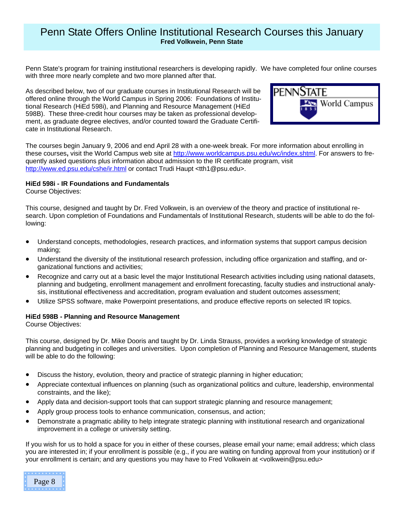## Penn State Offers Online Institutional Research Courses this January **Fred Volkwein, Penn State**

Penn State's program for training institutional researchers is developing rapidly. We have completed four online courses with three more nearly complete and two more planned after that.

As described below, two of our graduate courses in Institutional Research will be offered online through the World Campus in Spring 2006: Foundations of Institutional Research (HiEd 598i), and Planning and Resource Management (HiEd 598B). These three-credit hour courses may be taken as professional development, as graduate degree electives, and/or counted toward the Graduate Certificate in Institutional Research.



The courses begin January 9, 2006 and end April 28 with a one-week break. For more information about enrolling in these courses**,** visit the World Campus web site at [http://www.worldcampus.psu.edu/wc/index.shtml.](http://www.worldcampus.psu.edu/wc/index.shtml) For answers to frequently asked questions plus information about admission to the IR certificate program, visit <http://www.ed.psu.edu/cshe/ir.html>or contact Trudi Haupt <tth1@psu.edu>.

#### **HiEd 598i - IR Foundations and Fundamentals**

Course Objectives:

This course, designed and taught by Dr. Fred Volkwein, is an overview of the theory and practice of institutional research. Upon completion of Foundations and Fundamentals of Institutional Research, students will be able to do the following:

- Understand concepts, methodologies, research practices, and information systems that support campus decision making;
- Understand the diversity of the institutional research profession, including office organization and staffing, and organizational functions and activities;
- Recognize and carry out at a basic level the major Institutional Research activities including using national datasets, planning and budgeting, enrollment management and enrollment forecasting, faculty studies and instructional analysis, institutional effectiveness and accreditation, program evaluation and student outcomes assessment;
- Utilize SPSS software, make Powerpoint presentations, and produce effective reports on selected IR topics.

#### **HiEd 598B - Planning and Resource Management**

Course Objectives:

This course, designed by Dr. Mike Dooris and taught by Dr. Linda Strauss, provides a working knowledge of strategic planning and budgeting in colleges and universities. Upon completion of Planning and Resource Management, students will be able to do the following:

- Discuss the history, evolution, theory and practice of strategic planning in higher education;
- Appreciate contextual influences on planning (such as organizational politics and culture, leadership, environmental constraints, and the like);
- Apply data and decision-support tools that can support strategic planning and resource management;
- Apply group process tools to enhance communication, consensus, and action;
- Demonstrate a pragmatic ability to help integrate strategic planning with institutional research and organizational improvement in a college or university setting.

If you wish for us to hold a space for you in either of these courses, please email your name; email address; which class you are interested in; if your enrollment is possible (e.g., if you are waiting on funding approval from your institution) or if your enrollment is certain; and any questions you may have to Fred Volkwein at <volkwein@psu.edu>

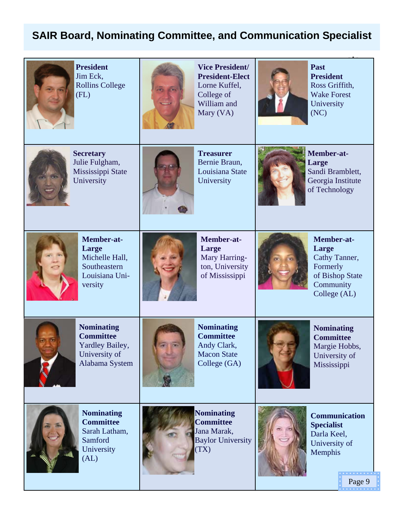# **SAIR Board, Nominating Committee, and Communication Specialist**



**President**  Jim Eck, Rollins College (FL)



**Vice President/ President-Elect**  Lorne Kuffel, College of William and Mary (VA)



**Past President**  Ross Griffith, Wake Forest University (NC)



**Secretary**  Julie Fulgham, Mississippi State University



**Treasurer**  Bernie Braun, Louisiana State **University** 



**Member-at-Large**  Sandi Bramblett, Georgia Institute of Technology



**Member-at-Large**  Michelle Hall, **Southeastern** Louisiana University



**Member-at-Large**  Mary Harrington, University of Mississippi



**Member-at-Large**  Cathy Tanner, Formerly of Bishop State **Community** College (AL)



**Nominating Committee**  Yardley Bailey, University of Alabama System



**Nominating Committee**  Andy Clark, Macon State College (GA)



**Nominating Committee**  Margie Hobbs, University of **Mississippi** 



**Nominating Committee**  Sarah Latham, Samford **University** (AL)



**Committee**  Jana Marak, Baylor University (TX)



**Communication Specialist**  Darla Keel, University of Memphis

Page 9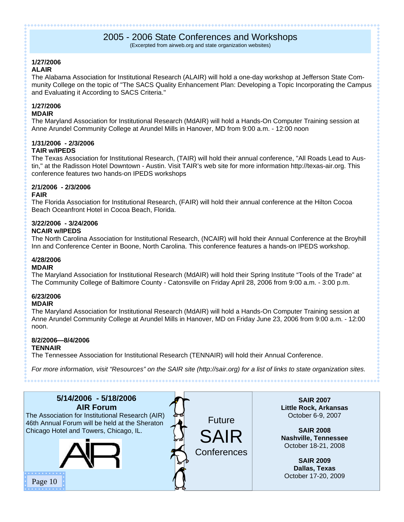# 2005 - 2006 State Conferences and Workshops

(Excerpted from airweb.org and state organization websites)

#### **1/27/2006**

#### **ALAIR**

The Alabama Association for Institutional Research (ALAIR) will hold a one-day workshop at Jefferson State Community College on the topic of "The SACS Quality Enhancement Plan: Developing a Topic Incorporating the Campus and Evaluating it According to SACS Criteria."

#### **1/27/2006**

#### **MDAIR**

The Maryland Association for Institutional Research (MdAIR) will hold a Hands-On Computer Training session at Anne Arundel Community College at Arundel Mills in Hanover, MD from 9:00 a.m. - 12:00 noon

#### **1/31/2006 - 2/3/2006**

#### **TAIR w/IPEDS**

The Texas Association for Institutional Research, (TAIR) will hold their annual conference, "All Roads Lead to Austin," at the Radisson Hotel Downtown - Austin. Visit TAIR's web site for more information http://texas-air.org. This conference features two hands-on IPEDS workshops

# **2/1/2006 - 2/3/2006**

#### **FAIR**

The Florida Association for Institutional Research, (FAIR) will hold their annual conference at the Hilton Cocoa Beach Oceanfront Hotel in Cocoa Beach, Florida.

# **3/22/2006 - 3/24/2006**

#### **NCAIR w/IPEDS**

The North Carolina Association for Institutional Research, (NCAIR) will hold their Annual Conference at the Broyhill Inn and Conference Center in Boone, North Carolina. This conference features a hands-on IPEDS workshop.

#### **4/28/2006**

#### **MDAIR**

The Maryland Association for Institutional Research (MdAIR) will hold their Spring Institute "Tools of the Trade" at The Community College of Baltimore County - Catonsville on Friday April 28, 2006 from 9:00 a.m. - 3:00 p.m.

# **6/23/2006**

#### **MDAIR**

The Maryland Association for Institutional Research (MdAIR) will hold a Hands-On Computer Training session at Anne Arundel Community College at Arundel Mills in Hanover, MD on Friday June 23, 2006 from 9:00 a.m. - 12:00 noon.

#### **8/2/2006—8/4/2006**

#### **TENNAIR**

The Tennessee Association for Institutional Research (TENNAIR) will hold their Annual Conference.

*For more information, visit "Resources" on the SAIR site (http://sair.org) for a list of links to state organization sites.* 

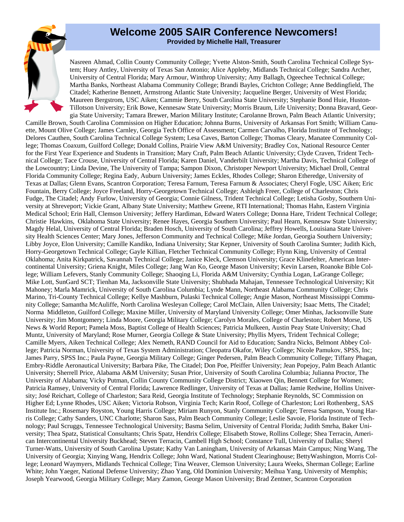#### **Welcome 2005 SAIR Conference Newcomers! Provided by Michelle Hall, Treasurer**

Nasreen Ahmad, Collin County Community College; Yvette Alston-Smith, South Carolina Technical College System; Huey Antley, University of Texas San Antonio; Alice Appleby, Midlands Technical College; Sandra Archer, University of Central Florida; Mary Armour, Winthrop University; Amy Ballagh, Ogeechee Technical College; Martha Banks, Northeast Alabama Community College; Brandi Bayles, Crichton College; Anne Beddingfield, The Citadel; Katherine Bennett, Armstrong Atlantic State University; Jacqueline Berger, University of West Florida; Maureen Bergstrom, USC Aiken; Cammie Berry, South Carolina State University; Stephanie Bond Huie, Huston-Tillotson University; Erik Bowe, Kennesaw State University; Morris Braum, Life University; Donna Bravard, Georgia State University; Tamara Brewer, Marion Military Institute; Carolanne Brown, Palm Beach Atlantic University; Camille Brown, South Carolina Commission on Higher Education; Johnna Burns, University of Arkansas Fort Smith; William Canuette, Mount Olive College; James Carnley, Georgia Tech Office of Assessment; Carmen Carvalho, Florida Institute of Technology; Delores Cauthen, South Carolina Technical College System; Lesa Caves, Barton College; Thomas Cleary, Manatee Community College; Thomas Coaxum, Guilford College; Donald Collins, Prairie View A&M University; Bradley Cox, National Resource Center for the First Year Experience and Students in Transition; Mary Craft, Palm Beach Atlantic University; Clyde Craven, Trident Technical College; Tace Crouse, University of Central Florida; Karen Daniel, Vanderbilt University; Martha Davis, Technical College of the Lowcountry; Linda Devine, The University of Tampa; Sampon Dixon, Christoper Newport University; Michael Droll, Central Florida Community College; Regina Eady, Auburn University; James Eckles, Rhodes College; Sharon Etheredge, University of Texas at Dallas; Glenn Evans, Scantron Corporation; Teresa Farnum, Teresa Farnum & Associates; Cheryl Fogle, USC Aiken; Eric Fountain, Berry College; Joyce Freeland, Horry-Georgetown Technical College; Ashleigh Freer, College of Charleston; Chris Fudge, The Citadel; Andy Furlow, University of Georgia; Connie Gilness, Trident Technical College; Letisha Gosby, Southern University at Shreveport; Vickie Grant, Albany State University; Matthew Greene, RTI International; Thomas Hahn, Eastern Virginia Medical School; Erin Hall, Clemson University; Jeffery Hardiman, Edward Waters College; Donna Hare, Trident Technical College; Christie Hawkins, Oklahoma State University; Renee Hayes, Georgia Southern University; Paul Hearn, Kennesaw State University; Magdy Helal, University of Central Florida; Braden Hosch, University of South Carolina; Jeffrey Howells, Louisiana State University Health Sciences Center; Mary Jones, Jefferson Community and Technical College; Mike Jordan, Georgia Southern University; Libby Joyce, Elon University; Camille Kandiko, Indiana University; Star Kepner, University of South Carolina Sumter; Judith Kich, Horry-Georgetown Technical College; Gayle Killian, Fletcher Technical Community College; Flynn King, University of Central Oklahoma; Anita Kirkpatrick, Savannah Technical College; Janice Kleck, Clemson University; Grace Klinefelter, American Intercontinental University; Griena Knight, Miles College; Jang Wan Ko, George Mason University; Kevin Larsen, Roanoke Bible College; William Lefevers, Stanly Community College; Shaoqing Li, Florida A&M University; Cynthia Logan, LaGrange College; Mike Lott, SunGard SCT; Tienhan Ma, Jacksonville State University; Shubhada Mahajan, Tennessee Technological University; Kit Mahoney; Marla Mamrick, University of South Carolina Columbia; Lynde Mann, Northeast Alabama Community College; Chris Marino, Tri-County Technical College; Kellye Mashburn, Pulaski Technical College; Angie Mason, Northeast Mississippi Community College; Samantha McAuliffe, North Carolina Wesleyan College; Carol McClain, Allen University; Isaac Metts, The Citadel; Norma Middleton, Guilford College; Maxine Miller, University of Maryland University College; Omer Minhas, Jacksonville State University; Jim Montgomery; Linda Moore, Georgia Military College; Carolyn Morales, College of Charleston; Robert Morse, US News & World Report; Pamela Moss, Baptist College of Health Sciences; Patricia Mulkeen, Austin Peay State University; Chad Muntz, University of Maryland; Rose Murner, Georgia College & State University; Phyllis Myers, Trident Technical College; Camille Myers, Aiken Technical College; Alex Nemeth, RAND Council for Aid to Education; Sandra Nicks, Belmont Abbey College; Patricia Norman, University of Texas System Administration; Cleopatra Okafor, Wiley College; Nicole Pamukov, SPSS, Inc; James Parry, SPSS Inc.; Paula Payne, Georgia Military College; Ginger Pedersen, Palm Beach Community College; Tiffany Phagan, Embry-Riddle Aeronautical University; Barbara Pike, The Citadel; Don Poe, Pfeiffer University; Jean Popejoy, Palm Beach Atlantic University; Sherrell Price, Alabama A&M University; Susan Prior, University of South Carolina Columbia; Julianna Proctor, The University of Alabama; Vicky Putman, Collin County Community College District; Xiaowen Qin, Bennett College for Women; Patricia Ramsey, University of Central Florida; Lawrence Redlinger, University of Texas at Dallas; Jamie Redwine, Hollins University; José Reichart, College of Charleston; Sara Reid, Georgia Institute of Technology; Stephanie Reynolds, SC Commission on Higher Ed; Lynne Rhodes, USC Aiken; Victoria Robson, Virginia Tech; Karin Roof, College of Charleston; Lori Rothenberg , SAS Institute Inc.; Rosemary Royston, Young Harris College; Miriam Runyon, Stanly Community College; Teresa Sampson, Young Harris College; Cathy Sanders, UNC Charlotte; Sharon Sass, Palm Beach Community College; Leslie Savoie, Florida Institute of Technology; Paul Scruggs, Tennessee Technological University; Basma Selim, University of Central Florida; Judith Smrha, Baker University; Thea Spatz, Statistical Consultants; Chris Spatz, Hendrix College; Elisabeth Stowe, Rollins College; Shea Terracin, American Intercontinental University Buckhead; Steven Terracin, Cambell High School; Constance Tull, University of Dallas; Sheryl Turner-Watts, University of South Carolina Upstate; Kathy Van Laningham, University of Arkansas Main Campus; Ning Wang, The University of Georgia; Xinying Wang, Hendrix College; John Ward, National Student Clearinghouse; BettyWashington, Morris College; Leonard Waymyers, Midlands Technical College; Tina Weaver, Clemson University; Laura Weeks, Sherman College; Earline White; John Yaeger, National Defense University; Zhao Yang, Old Dominion University; Meihua Yang, University of Memphis; Joseph Yearwood, Georgia Military College; Mary Zamon, George Mason University; Brad Zentner, Scantron Corporation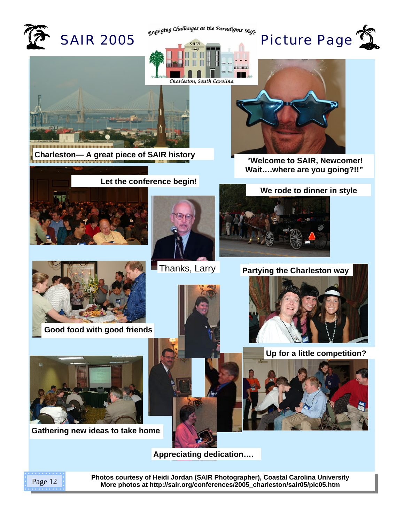

**Appreciating dedication….** 



**Photos courtesy of Heidi Jordan (SAIR Photographer), Coastal Carolina University More photos at [http://sair.org/conferences/2005\\_charleston/sair05/pic05.htm](http://sair.org/conferences/2005_charleston/sair05/pic05.htm)** Page 12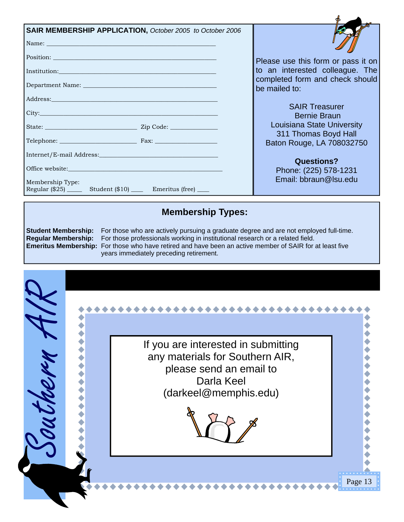| SAIR MEMBERSHIP APPLICATION, October 2005 to October 2006<br>Name: Name:                                                                                                                                                       |                                                                       |
|--------------------------------------------------------------------------------------------------------------------------------------------------------------------------------------------------------------------------------|-----------------------------------------------------------------------|
|                                                                                                                                                                                                                                | Please use this form or pass it on<br>to an interested colleague. The |
|                                                                                                                                                                                                                                | completed form and check should<br>be mailed to:                      |
| Address: No. 1998. The Contract of the Contract of the Contract of the Contract of the Contract of the Contract of the Contract of the Contract of the Contract of the Contract of the Contract of the Contract of the Contrac | <b>SAIR Treasurer</b>                                                 |
| City: City:                                                                                                                                                                                                                    | <b>Bernie Braun</b>                                                   |
|                                                                                                                                                                                                                                | Louisiana State University<br>311 Thomas Boyd Hall                    |
| Telephone: Fax: Fax:                                                                                                                                                                                                           | Baton Rouge, LA 708032750                                             |
|                                                                                                                                                                                                                                | <b>Questions?</b>                                                     |
|                                                                                                                                                                                                                                | Phone: (225) 578-1231<br>Email: bbraun@Isu.edu                        |
| Membership Type:<br>Regular (\$25) _______ Student (\$10) ______ Emeritus (free) _____                                                                                                                                         |                                                                       |

# **Membership Types:**

**Student Membership:** For those who are actively pursuing a graduate degree and are not employed full-time. **Regular Membership:** For those professionals working in institutional research or a related field. **Emeritus Membership:** For those who have retired and have been an active member of SAIR for at least five years immediately preceding retirement.